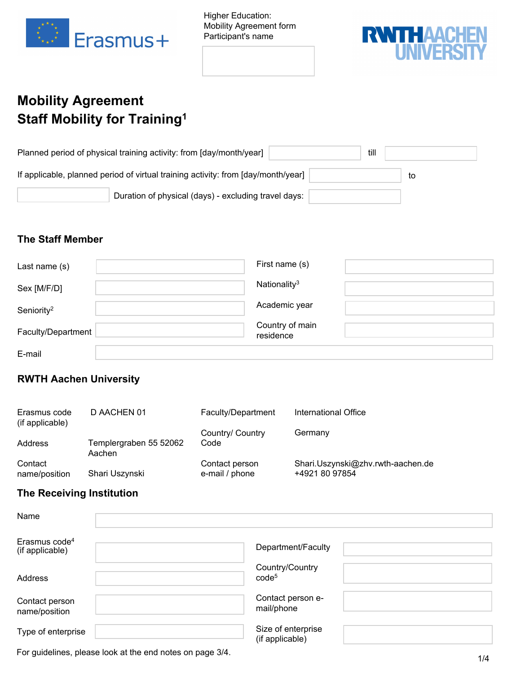

Higher Education: Mobility Agreement form Participant's name



# **Mobility Agreement Staff Mobility for Training<sup>1</sup>**

| Planned period of physical training activity: from [day/month/year]               | till |    |
|-----------------------------------------------------------------------------------|------|----|
| If applicable, planned period of virtual training activity: from [day/month/year] |      | to |
| Duration of physical (days) - excluding travel days:                              |      |    |

#### **The Staff Member**

| Last name (s)          | First name (s)               |
|------------------------|------------------------------|
| Sex [M/F/D]            | Nationality <sup>3</sup>     |
| Seniority <sup>2</sup> | Academic year                |
| Faculty/Department     | Country of main<br>residence |
| E-mail                 |                              |

# **RWTH Aachen University**

| Erasmus code<br>(if applicable) | D AACHEN 01                      | Faculty/Department               | International Office                                |
|---------------------------------|----------------------------------|----------------------------------|-----------------------------------------------------|
|                                 |                                  | Country/ Country                 | Germany                                             |
| Address                         | Templergraben 55 52062<br>Aachen | Code                             |                                                     |
| Contact<br>name/position        | Shari Uszynski                   | Contact person<br>e-mail / phone | Shari.Uszynski@zhv.rwth-aachen.de<br>+4921 80 97854 |

# **The Receiving Institution**

| Name                                         |                                       |  |
|----------------------------------------------|---------------------------------------|--|
| Erasmus code <sup>4</sup><br>(if applicable) | Department/Faculty                    |  |
| Address                                      | Country/Country<br>code <sup>5</sup>  |  |
| Contact person<br>name/position              | Contact person e-<br>mail/phone       |  |
| Type of enterprise                           | Size of enterprise<br>(if applicable) |  |

For guidelines, please look at the end notes on page 3/4.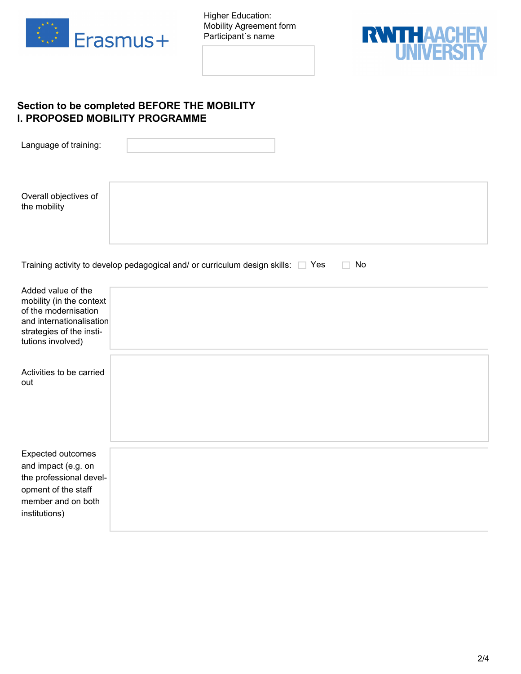

Higher Education: Mobility Agreement form Participant´s name



## **Section to be completed BEFORE THE MOBILITY I. PROPOSED MOBILITY PROGRAMME**

| Language of training:                                                                                                                               |                                                                                      |
|-----------------------------------------------------------------------------------------------------------------------------------------------------|--------------------------------------------------------------------------------------|
| Overall objectives of<br>the mobility                                                                                                               |                                                                                      |
|                                                                                                                                                     | Training activity to develop pedagogical and/ or curriculum design skills: Ves<br>No |
| Added value of the<br>mobility (in the context<br>of the modernisation<br>and internationalisation<br>strategies of the insti-<br>tutions involved) |                                                                                      |
| Activities to be carried<br>out                                                                                                                     |                                                                                      |
| Expected outcomes<br>and impact (e.g. on<br>the professional devel-<br>opment of the staff<br>member and on both<br>institutions)                   |                                                                                      |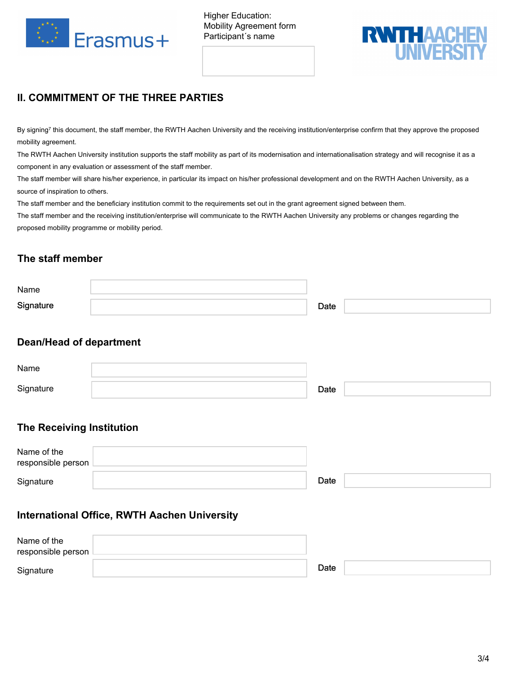

Higher Education: Mobility Agreement form Participant´s name



# **II. COMMITMENT OF THE THREE PARTIES**

By signing<sup>7</sup> this document, the staff member, the RWTH Aachen University and the receiving institution/enterprise confirm that they approve the proposed mobility agreement.

The RWTH Aachen University institution supports the staff mobility as part of its modernisation and internationalisation strategy and will recognise it as a component in any evaluation or assessment of the staff member.

The staff member will share his/her experience, in particular its impact on his/her professional development and on the RWTH Aachen University, as a source of inspiration to others.

The staff member and the beneficiary institution commit to the requirements set out in the grant agreement signed between them.

The staff member and the receiving institution/enterprise will communicate to the RWTH Aachen University any problems or changes regarding the proposed mobility programme or mobility period.

## **The staff member**

| Name      |      |  |
|-----------|------|--|
| Signature | Date |  |

## **Dean/Head of department**

| Name      |      |  |
|-----------|------|--|
| Signature | Date |  |

## **The Receiving Institution**

| Name of the<br>responsible person L |      |  |
|-------------------------------------|------|--|
| Signature                           | Date |  |

## **International Office, RWTH Aachen University**

| Name of the<br>responsible person L |      |  |
|-------------------------------------|------|--|
| Signature                           | Date |  |